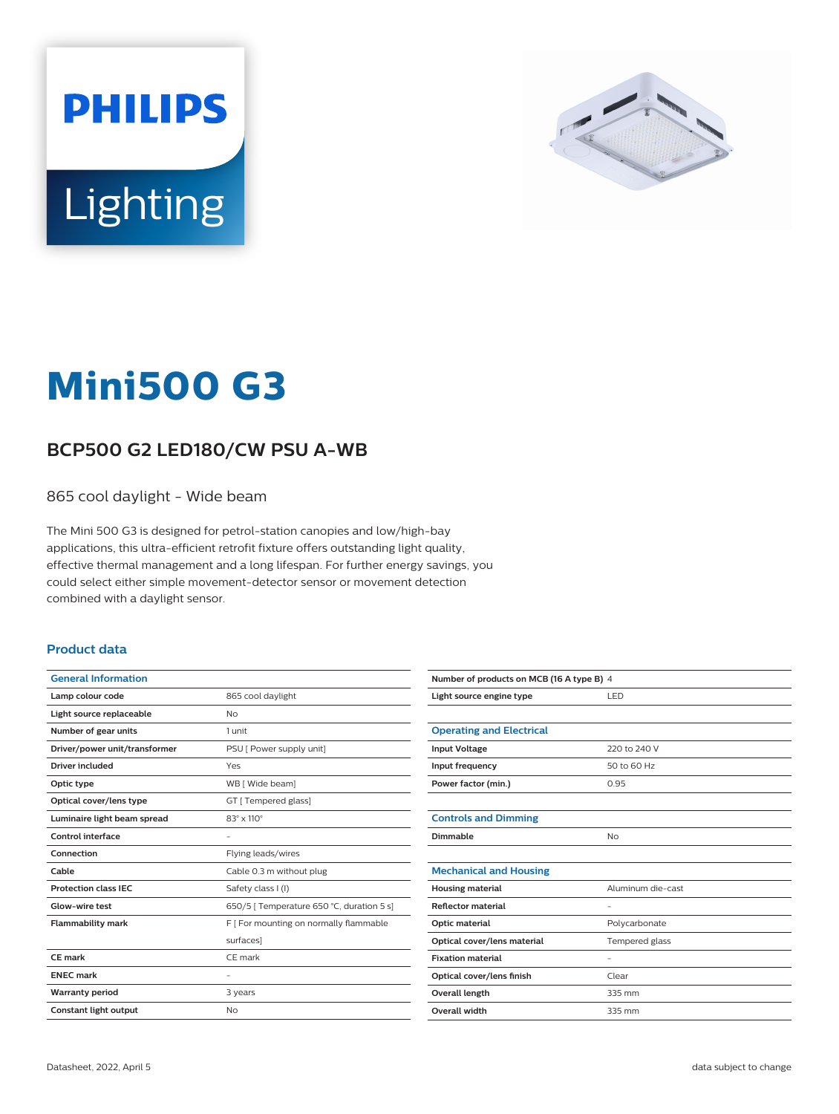



# **Mini500 G3**

## **BCP500 G2 LED180/CW PSU A-WB**

865 cool daylight - Wide beam

The Mini 500 G3 is designed for petrol-station canopies and low/high-bay applications, this ultra-efficient retrofit fixture offers outstanding light quality, effective thermal management and a long lifespan. For further energy savings, you could select either simple movement-detector sensor or movement detection combined with a daylight sensor.

#### **Product data**

| <b>General Information</b>    |                                           |  |
|-------------------------------|-------------------------------------------|--|
| Lamp colour code              | 865 cool daylight                         |  |
| Light source replaceable      | No                                        |  |
| Number of gear units          | 1 unit                                    |  |
| Driver/power unit/transformer | PSU [ Power supply unit]                  |  |
| Driver included               | Yes                                       |  |
| Optic type                    | WB [ Wide beam]                           |  |
| Optical cover/lens type       | GT [ Tempered glass]                      |  |
| Luminaire light beam spread   | $83^\circ \times 110^\circ$               |  |
| <b>Control interface</b>      |                                           |  |
| Connection                    | Flying leads/wires                        |  |
| Cable                         | Cable 0.3 m without plug                  |  |
| <b>Protection class IEC</b>   | Safety class I (I)                        |  |
| Glow-wire test                | 650/5   Temperature 650 °C, duration 5 s] |  |
| <b>Flammability mark</b>      | F   For mounting on normally flammable    |  |
|                               | surfaces]                                 |  |
| <b>CE</b> mark                | CE mark                                   |  |
| <b>ENEC mark</b>              |                                           |  |
| <b>Warranty period</b>        | 3 years                                   |  |
| <b>Constant light output</b>  | No                                        |  |
|                               |                                           |  |

| Number of products on MCB (16 A type B) 4 |                   |  |  |  |
|-------------------------------------------|-------------------|--|--|--|
| Light source engine type                  | LED               |  |  |  |
|                                           |                   |  |  |  |
| <b>Operating and Electrical</b>           |                   |  |  |  |
| <b>Input Voltage</b>                      | 220 to 240 V      |  |  |  |
| Input frequency                           | 50 to 60 Hz       |  |  |  |
| Power factor (min.)                       | 0.95              |  |  |  |
|                                           |                   |  |  |  |
| <b>Controls and Dimming</b>               |                   |  |  |  |
| Dimmable                                  | No                |  |  |  |
|                                           |                   |  |  |  |
| <b>Mechanical and Housing</b>             |                   |  |  |  |
| <b>Housing material</b>                   | Aluminum die-cast |  |  |  |
| <b>Reflector material</b>                 | $\qquad \qquad -$ |  |  |  |
| Optic material                            | Polycarbonate     |  |  |  |
| Optical cover/lens material               | Tempered glass    |  |  |  |
| <b>Fixation material</b>                  |                   |  |  |  |
| Optical cover/lens finish                 | Clear             |  |  |  |
| Overall length                            | 335 mm            |  |  |  |
| <b>Overall width</b>                      | 335 mm            |  |  |  |
|                                           |                   |  |  |  |